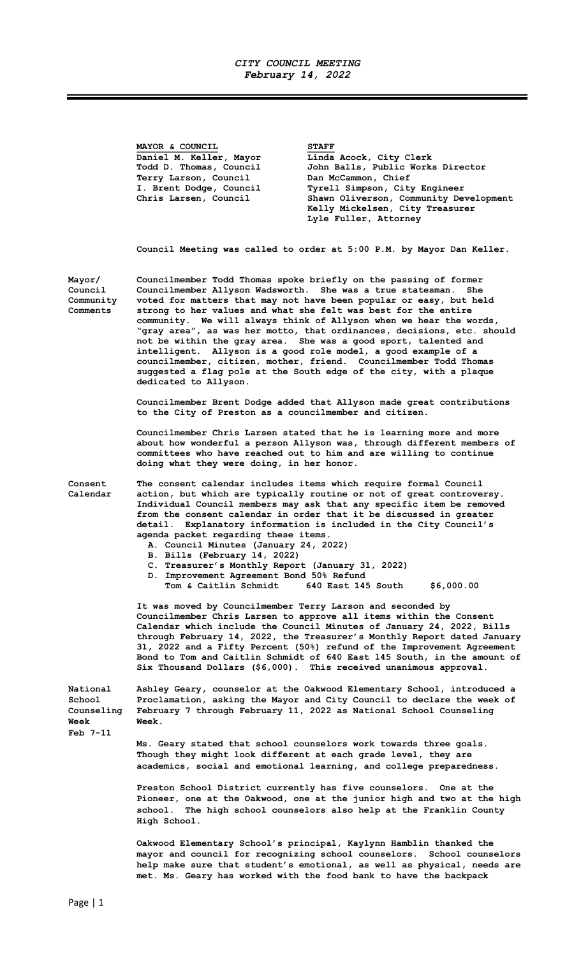## CITY COUNCIL MEETING February 14, 2022

|                                                        | MAYOR & COUNCIL<br>Daniel M. Keller, Mayor<br>Todd D. Thomas, Council<br>Terry Larson, Council<br>I. Brent Dodge, Council<br>Chris Larsen, Council                                                                                                                                                                                                                                                                                                                                                                                                                                                                                                                                                                                     | <b>STAFF</b><br>Linda Acock, City Clerk<br>John Balls, Public Works Director<br>Dan McCammon, Chief<br>Tyrell Simpson, City Engineer<br>Shawn Oliverson, Community Development<br>Kelly Mickelsen, City Treasurer<br>Lyle Fuller, Attorney                                                                                                                                                                                                       |  |
|--------------------------------------------------------|----------------------------------------------------------------------------------------------------------------------------------------------------------------------------------------------------------------------------------------------------------------------------------------------------------------------------------------------------------------------------------------------------------------------------------------------------------------------------------------------------------------------------------------------------------------------------------------------------------------------------------------------------------------------------------------------------------------------------------------|--------------------------------------------------------------------------------------------------------------------------------------------------------------------------------------------------------------------------------------------------------------------------------------------------------------------------------------------------------------------------------------------------------------------------------------------------|--|
|                                                        |                                                                                                                                                                                                                                                                                                                                                                                                                                                                                                                                                                                                                                                                                                                                        | Council Meeting was called to order at 5:00 P.M. by Mayor Dan Keller.                                                                                                                                                                                                                                                                                                                                                                            |  |
| Mayor/<br>Council<br>Community<br>Comments             | Councilmember Todd Thomas spoke briefly on the passing of former<br>Councilmember Allyson Wadsworth. She was a true statesman.<br>She<br>voted for matters that may not have been popular or easy, but held<br>strong to her values and what she felt was best for the entire<br>community. We will always think of Allyson when we hear the words,<br>"gray area", as was her motto, that ordinances, decisions, etc. should<br>not be within the gray area. She was a good sport, talented and<br>intelligent. Allyson is a good role model, a good example of a<br>councilmember, citizen, mother, friend. Councilmember Todd Thomas<br>suggested a flag pole at the South edge of the city, with a plaque<br>dedicated to Allyson. |                                                                                                                                                                                                                                                                                                                                                                                                                                                  |  |
|                                                        | Councilmember Brent Dodge added that Allyson made great contributions<br>to the City of Preston as a councilmember and citizen.                                                                                                                                                                                                                                                                                                                                                                                                                                                                                                                                                                                                        |                                                                                                                                                                                                                                                                                                                                                                                                                                                  |  |
|                                                        | doing what they were doing, in her honor.                                                                                                                                                                                                                                                                                                                                                                                                                                                                                                                                                                                                                                                                                              | Councilmember Chris Larsen stated that he is learning more and more<br>about how wonderful a person Allyson was, through different members of<br>committees who have reached out to him and are willing to continue                                                                                                                                                                                                                              |  |
| Consent<br>Calendar                                    | agenda packet regarding these items.<br>A. Council Minutes (January 24, 2022)<br>B. Bills (February 14, 2022)<br>C. Treasurer's Monthly Report (January 31, 2022)<br>D. Improvement Agreement Bond 50% Refund<br>Tom & Caitlin Schmidt                                                                                                                                                                                                                                                                                                                                                                                                                                                                                                 | The consent calendar includes items which require formal Council<br>action, but which are typically routine or not of great controversy.<br>Individual Council members may ask that any specific item be removed<br>from the consent calendar in order that it be discussed in greater<br>detail. Explanatory information is included in the City Council's<br>640 East 145 South<br>\$6,000.00                                                  |  |
|                                                        | It was moved by Councilmember Terry Larson and seconded by                                                                                                                                                                                                                                                                                                                                                                                                                                                                                                                                                                                                                                                                             | Councilmember Chris Larsen to approve all items within the Consent<br>Calendar which include the Council Minutes of January 24, 2022, Bills<br>through February 14, 2022, the Treasurer's Monthly Report dated January<br>31, 2022 and a Fifty Percent (50%) refund of the Improvement Agreement<br>Bond to Tom and Caitlin Schmidt of 640 East 145 South, in the amount of<br>Six Thousand Dollars (\$6,000). This received unanimous approval. |  |
| National<br>School<br>Counseling<br>Week<br>$Feb$ 7-11 | Week.                                                                                                                                                                                                                                                                                                                                                                                                                                                                                                                                                                                                                                                                                                                                  | Ashley Geary, counselor at the Oakwood Elementary School, introduced a<br>Proclamation, asking the Mayor and City Council to declare the week of<br>February 7 through February 11, 2022 as National School Counseling                                                                                                                                                                                                                           |  |
|                                                        |                                                                                                                                                                                                                                                                                                                                                                                                                                                                                                                                                                                                                                                                                                                                        | Ms. Geary stated that school counselors work towards three goals.<br>Though they might look different at each grade level, they are<br>academics, social and emotional learning, and college preparedness.                                                                                                                                                                                                                                       |  |
|                                                        | Preston School District currently has five counselors. One at the<br>Pioneer, one at the Oakwood, one at the junior high and two at the high<br>The high school counselors also help at the Franklin County<br>school.<br>High School.                                                                                                                                                                                                                                                                                                                                                                                                                                                                                                 |                                                                                                                                                                                                                                                                                                                                                                                                                                                  |  |
|                                                        |                                                                                                                                                                                                                                                                                                                                                                                                                                                                                                                                                                                                                                                                                                                                        | Oakwood Flementary School's principal Kaylynn Hamblin thanked the                                                                                                                                                                                                                                                                                                                                                                                |  |

Oakwood Elementary School's principal, Kaylynn Hamblin thanked the mayor and council for recognizing school counselors. School counselors help make sure that student's emotional, as well as physical, needs are met. Ms. Geary has worked with the food bank to have the backpack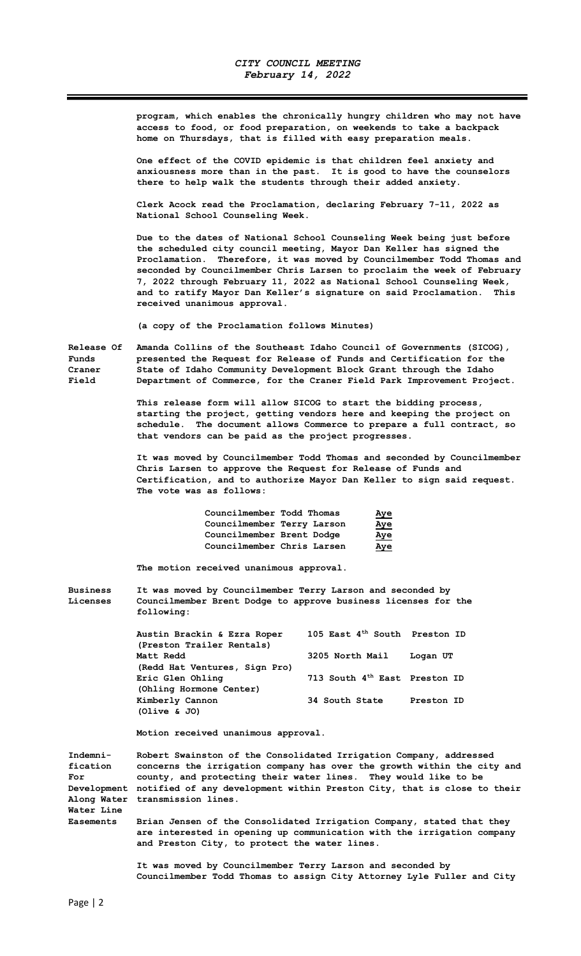program, which enables the chronically hungry children who may not have access to food, or food preparation, on weekends to take a backpack home on Thursdays, that is filled with easy preparation meals.

One effect of the COVID epidemic is that children feel anxiety and anxiousness more than in the past. It is good to have the counselors there to help walk the students through their added anxiety.

Clerk Acock read the Proclamation, declaring February 7-11, 2022 as National School Counseling Week.

Due to the dates of National School Counseling Week being just before the scheduled city council meeting, Mayor Dan Keller has signed the Proclamation. Therefore, it was moved by Councilmember Todd Thomas and seconded by Councilmember Chris Larsen to proclaim the week of February 7, 2022 through February 11, 2022 as National School Counseling Week, and to ratify Mayor Dan Keller's signature on said Proclamation. This received unanimous approval.

(a copy of the Proclamation follows Minutes)

Release Of Amanda Collins of the Southeast Idaho Council of Governments (SICOG), Funds presented the Request for Release of Funds and Certification for the Craner State of Idaho Community Development Block Grant through the Idaho<br>Field Bepartment of Commerce, for the Craner Field Park Improvement Proje Department of Commerce, for the Craner Field Park Improvement Project.

> This release form will allow SICOG to start the bidding process, starting the project, getting vendors here and keeping the project on schedule. The document allows Commerce to prepare a full contract, so that vendors can be paid as the project progresses.

It was moved by Councilmember Todd Thomas and seconded by Councilmember Chris Larsen to approve the Request for Release of Funds and Certification, and to authorize Mayor Dan Keller to sign said request. The vote was as follows:

| Councilmember Todd Thomas  | <u>Aye</u> |
|----------------------------|------------|
| Councilmember Terry Larson | <u>Aye</u> |
| Councilmember Brent Dodge  | <u>Aye</u> |
| Councilmember Chris Larsen | <u>Aye</u> |

The motion received unanimous approval.

Business It was moved by Councilmember Terry Larson and seconded by Licenses Councilmember Brent Dodge to approve business licenses for the following:

| Austin Brackin & Ezra Roper<br>(Preston Trailer Rentals) | 105 East 4 <sup>th</sup> South Preston ID |            |
|----------------------------------------------------------|-------------------------------------------|------------|
| Matt Redd                                                | 3205 North Mail                           | Logan UT   |
| (Redd Hat Ventures, Sign Pro)                            |                                           |            |
| Eric Glen Ohling                                         | 713 South 4 <sup>th</sup> East Preston ID |            |
| (Ohling Hormone Center)                                  |                                           |            |
| Kimberly Cannon                                          | 34 South State                            | Preston ID |
| (Olive & JO)                                             |                                           |            |

Motion received unanimous approval.

Indemni- Robert Swainston of the Consolidated Irrigation Company, addressed fication concerns the irrigation company has over the growth within the city and For county, and protecting their water lines. They would like to be Development notified of any development within Preston City, that is close to their Along Water transmission lines. Water Line Easements Brian Jensen of the Consolidated Irrigation Company, stated that they

are interested in opening up communication with the irrigation company and Preston City, to protect the water lines.

 It was moved by Councilmember Terry Larson and seconded by Councilmember Todd Thomas to assign City Attorney Lyle Fuller and City